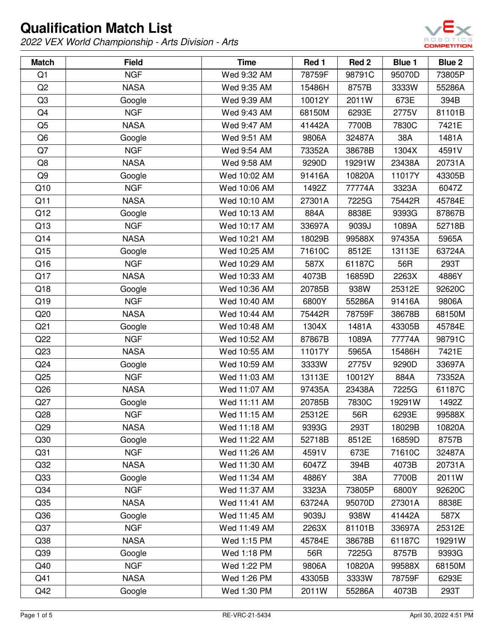

| <b>Match</b>    | <b>Field</b> | <b>Time</b>  | Red 1  | Red 2  | <b>Blue 1</b> | Blue 2 |
|-----------------|--------------|--------------|--------|--------|---------------|--------|
| Q1              | <b>NGF</b>   | Wed 9:32 AM  | 78759F | 98791C | 95070D        | 73805P |
| Q2              | <b>NASA</b>  | Wed 9:35 AM  | 15486H | 8757B  | 3333W         | 55286A |
| Q <sub>3</sub>  | Google       | Wed 9:39 AM  | 10012Y | 2011W  | 673E          | 394B   |
| Q4              | <b>NGF</b>   | Wed 9:43 AM  | 68150M | 6293E  | 2775V         | 81101B |
| Q <sub>5</sub>  | <b>NASA</b>  | Wed 9:47 AM  | 41442A | 7700B  | 7830C         | 7421E  |
| Q <sub>6</sub>  | Google       | Wed 9:51 AM  | 9806A  | 32487A | 38A           | 1481A  |
| Q7              | <b>NGF</b>   | Wed 9:54 AM  | 73352A | 38678B | 1304X         | 4591V  |
| Q8              | <b>NASA</b>  | Wed 9:58 AM  | 9290D  | 19291W | 23438A        | 20731A |
| Q9              | Google       | Wed 10:02 AM | 91416A | 10820A | 11017Y        | 43305B |
| Q10             | <b>NGF</b>   | Wed 10:06 AM | 1492Z  | 77774A | 3323A         | 6047Z  |
| Q11             | <b>NASA</b>  | Wed 10:10 AM | 27301A | 7225G  | 75442R        | 45784E |
| Q12             | Google       | Wed 10:13 AM | 884A   | 8838E  | 9393G         | 87867B |
| Q13             | <b>NGF</b>   | Wed 10:17 AM | 33697A | 9039J  | 1089A         | 52718B |
| Q14             | <b>NASA</b>  | Wed 10:21 AM | 18029B | 99588X | 97435A        | 5965A  |
| Q15             | Google       | Wed 10:25 AM | 71610C | 8512E  | 13113E        | 63724A |
| Q16             | <b>NGF</b>   | Wed 10:29 AM | 587X   | 61187C | 56R           | 293T   |
| Q17             | <b>NASA</b>  | Wed 10:33 AM | 4073B  | 16859D | 2263X         | 4886Y  |
| Q18             | Google       | Wed 10:36 AM | 20785B | 938W   | 25312E        | 92620C |
| Q19             | <b>NGF</b>   | Wed 10:40 AM | 6800Y  | 55286A | 91416A        | 9806A  |
| Q20             | <b>NASA</b>  | Wed 10:44 AM | 75442R | 78759F | 38678B        | 68150M |
| Q <sub>21</sub> | Google       | Wed 10:48 AM | 1304X  | 1481A  | 43305B        | 45784E |
| Q22             | <b>NGF</b>   | Wed 10:52 AM | 87867B | 1089A  | 77774A        | 98791C |
| Q23             | <b>NASA</b>  | Wed 10:55 AM | 11017Y | 5965A  | 15486H        | 7421E  |
| Q24             | Google       | Wed 10:59 AM | 3333W  | 2775V  | 9290D         | 33697A |
| Q25             | <b>NGF</b>   | Wed 11:03 AM | 13113E | 10012Y | 884A          | 73352A |
| Q26             | <b>NASA</b>  | Wed 11:07 AM | 97435A | 23438A | 7225G         | 61187C |
| Q27             | Google       | Wed 11:11 AM | 20785B | 7830C  | 19291W        | 1492Z  |
| Q28             | <b>NGF</b>   | Wed 11:15 AM | 25312E | 56R    | 6293E         | 99588X |
| Q29             | <b>NASA</b>  | Wed 11:18 AM | 9393G  | 293T   | 18029B        | 10820A |
| Q30             | Google       | Wed 11:22 AM | 52718B | 8512E  | 16859D        | 8757B  |
| Q <sub>31</sub> | <b>NGF</b>   | Wed 11:26 AM | 4591V  | 673E   | 71610C        | 32487A |
| Q <sub>32</sub> | <b>NASA</b>  | Wed 11:30 AM | 6047Z  | 394B   | 4073B         | 20731A |
| Q33             | Google       | Wed 11:34 AM | 4886Y  | 38A    | 7700B         | 2011W  |
| Q <sub>34</sub> | <b>NGF</b>   | Wed 11:37 AM | 3323A  | 73805P | 6800Y         | 92620C |
| Q35             | <b>NASA</b>  | Wed 11:41 AM | 63724A | 95070D | 27301A        | 8838E  |
| Q36             | Google       | Wed 11:45 AM | 9039J  | 938W   | 41442A        | 587X   |
| Q <sub>37</sub> | <b>NGF</b>   | Wed 11:49 AM | 2263X  | 81101B | 33697A        | 25312E |
| Q38             | <b>NASA</b>  | Wed 1:15 PM  | 45784E | 38678B | 61187C        | 19291W |
| Q39             | Google       | Wed 1:18 PM  | 56R    | 7225G  | 8757B         | 9393G  |
| Q40             | <b>NGF</b>   | Wed 1:22 PM  | 9806A  | 10820A | 99588X        | 68150M |
| Q41             | <b>NASA</b>  | Wed 1:26 PM  | 43305B | 3333W  | 78759F        | 6293E  |
| Q42             | Google       | Wed 1:30 PM  | 2011W  | 55286A | 4073B         | 293T   |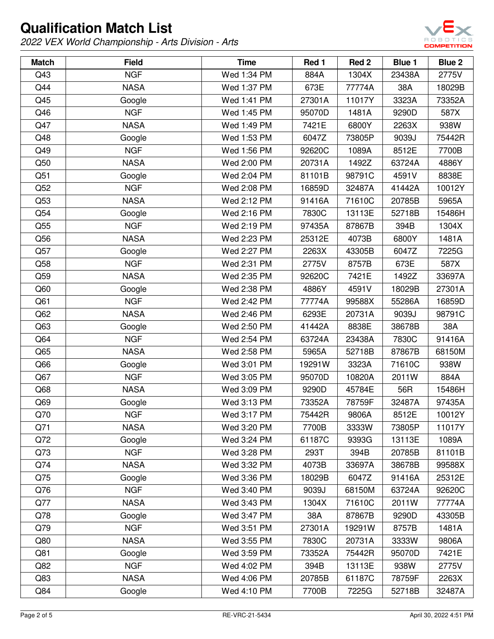

| <b>Match</b> | <b>Field</b> | <b>Time</b> | Red 1  | Red <sub>2</sub> | Blue 1 | Blue <sub>2</sub> |
|--------------|--------------|-------------|--------|------------------|--------|-------------------|
| Q43          | <b>NGF</b>   | Wed 1:34 PM | 884A   | 1304X            | 23438A | 2775V             |
| Q44          | <b>NASA</b>  | Wed 1:37 PM | 673E   | 77774A           | 38A    | 18029B            |
| Q45          | Google       | Wed 1:41 PM | 27301A | 11017Y           | 3323A  | 73352A            |
| Q46          | <b>NGF</b>   | Wed 1:45 PM | 95070D | 1481A            | 9290D  | 587X              |
| Q47          | <b>NASA</b>  | Wed 1:49 PM | 7421E  | 6800Y            | 2263X  | 938W              |
| Q48          | Google       | Wed 1:53 PM | 6047Z  | 73805P           | 9039J  | 75442R            |
| Q49          | <b>NGF</b>   | Wed 1:56 PM | 92620C | 1089A            | 8512E  | 7700B             |
| Q50          | <b>NASA</b>  | Wed 2:00 PM | 20731A | 1492Z            | 63724A | 4886Y             |
| Q51          | Google       | Wed 2:04 PM | 81101B | 98791C           | 4591V  | 8838E             |
| Q52          | <b>NGF</b>   | Wed 2:08 PM | 16859D | 32487A           | 41442A | 10012Y            |
| Q53          | <b>NASA</b>  | Wed 2:12 PM | 91416A | 71610C           | 20785B | 5965A             |
| Q54          | Google       | Wed 2:16 PM | 7830C  | 13113E           | 52718B | 15486H            |
| Q55          | <b>NGF</b>   | Wed 2:19 PM | 97435A | 87867B           | 394B   | 1304X             |
| Q56          | <b>NASA</b>  | Wed 2:23 PM | 25312E | 4073B            | 6800Y  | 1481A             |
| Q57          | Google       | Wed 2:27 PM | 2263X  | 43305B           | 6047Z  | 7225G             |
| Q58          | <b>NGF</b>   | Wed 2:31 PM | 2775V  | 8757B            | 673E   | 587X              |
| Q59          | <b>NASA</b>  | Wed 2:35 PM | 92620C | 7421E            | 1492Z  | 33697A            |
| Q60          | Google       | Wed 2:38 PM | 4886Y  | 4591V            | 18029B | 27301A            |
| Q61          | <b>NGF</b>   | Wed 2:42 PM | 77774A | 99588X           | 55286A | 16859D            |
| Q62          | <b>NASA</b>  | Wed 2:46 PM | 6293E  | 20731A           | 9039J  | 98791C            |
| Q63          | Google       | Wed 2:50 PM | 41442A | 8838E            | 38678B | 38A               |
| Q64          | <b>NGF</b>   | Wed 2:54 PM | 63724A | 23438A           | 7830C  | 91416A            |
| Q65          | <b>NASA</b>  | Wed 2:58 PM | 5965A  | 52718B           | 87867B | 68150M            |
| Q66          | Google       | Wed 3:01 PM | 19291W | 3323A            | 71610C | 938W              |
| Q67          | <b>NGF</b>   | Wed 3:05 PM | 95070D | 10820A           | 2011W  | 884A              |
| Q68          | <b>NASA</b>  | Wed 3:09 PM | 9290D  | 45784E           | 56R    | 15486H            |
| Q69          | Google       | Wed 3:13 PM | 73352A | 78759F           | 32487A | 97435A            |
| Q70          | <b>NGF</b>   | Wed 3:17 PM | 75442R | 9806A            | 8512E  | 10012Y            |
| Q71          | <b>NASA</b>  | Wed 3:20 PM | 7700B  | 3333W            | 73805P | 11017Y            |
| Q72          | Google       | Wed 3:24 PM | 61187C | 9393G            | 13113E | 1089A             |
| Q73          | <b>NGF</b>   | Wed 3:28 PM | 293T   | 394B             | 20785B | 81101B            |
| Q74          | <b>NASA</b>  | Wed 3:32 PM | 4073B  | 33697A           | 38678B | 99588X            |
| Q75          | Google       | Wed 3:36 PM | 18029B | 6047Z            | 91416A | 25312E            |
| Q76          | <b>NGF</b>   | Wed 3:40 PM | 9039J  | 68150M           | 63724A | 92620C            |
| Q77          | <b>NASA</b>  | Wed 3:43 PM | 1304X  | 71610C           | 2011W  | 77774A            |
| Q78          | Google       | Wed 3:47 PM | 38A    | 87867B           | 9290D  | 43305B            |
| Q79          | <b>NGF</b>   | Wed 3:51 PM | 27301A | 19291W           | 8757B  | 1481A             |
| Q80          | <b>NASA</b>  | Wed 3:55 PM | 7830C  | 20731A           | 3333W  | 9806A             |
| Q81          | Google       | Wed 3:59 PM | 73352A | 75442R           | 95070D | 7421E             |
| Q82          | <b>NGF</b>   | Wed 4:02 PM | 394B   | 13113E           | 938W   | 2775V             |
| Q83          | <b>NASA</b>  | Wed 4:06 PM | 20785B | 61187C           | 78759F | 2263X             |
| Q84          | Google       | Wed 4:10 PM | 7700B  | 7225G            | 52718B | 32487A            |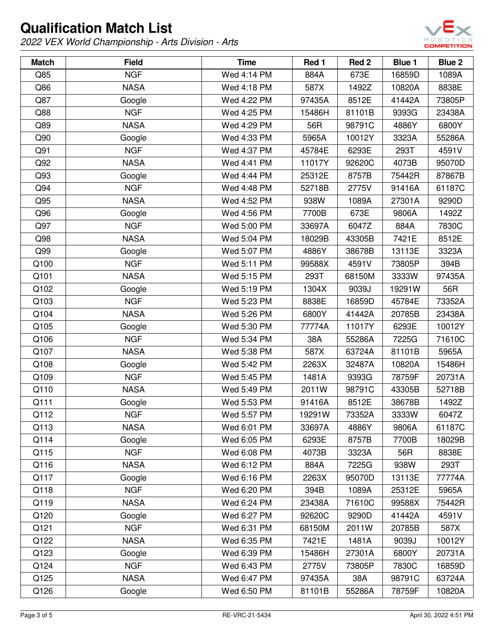

| <b>Match</b> | <b>Field</b> | <b>Time</b> | Red 1  | Red 2  | <b>Blue 1</b> | Blue 2 |
|--------------|--------------|-------------|--------|--------|---------------|--------|
| Q85          | <b>NGF</b>   | Wed 4:14 PM | 884A   | 673E   | 16859D        | 1089A  |
| Q86          | <b>NASA</b>  | Wed 4:18 PM | 587X   | 1492Z  | 10820A        | 8838E  |
| Q87          | Google       | Wed 4:22 PM | 97435A | 8512E  | 41442A        | 73805P |
| Q88          | <b>NGF</b>   | Wed 4:25 PM | 15486H | 81101B | 9393G         | 23438A |
| Q89          | <b>NASA</b>  | Wed 4:29 PM | 56R    | 98791C | 4886Y         | 6800Y  |
| Q90          | Google       | Wed 4:33 PM | 5965A  | 10012Y | 3323A         | 55286A |
| Q91          | <b>NGF</b>   | Wed 4:37 PM | 45784E | 6293E  | 293T          | 4591V  |
| Q92          | <b>NASA</b>  | Wed 4:41 PM | 11017Y | 92620C | 4073B         | 95070D |
| Q93          | Google       | Wed 4:44 PM | 25312E | 8757B  | 75442R        | 87867B |
| Q94          | <b>NGF</b>   | Wed 4:48 PM | 52718B | 2775V  | 91416A        | 61187C |
| Q95          | <b>NASA</b>  | Wed 4:52 PM | 938W   | 1089A  | 27301A        | 9290D  |
| Q96          | Google       | Wed 4:56 PM | 7700B  | 673E   | 9806A         | 1492Z  |
| Q97          | <b>NGF</b>   | Wed 5:00 PM | 33697A | 6047Z  | 884A          | 7830C  |
| Q98          | <b>NASA</b>  | Wed 5:04 PM | 18029B | 43305B | 7421E         | 8512E  |
| Q99          | Google       | Wed 5:07 PM | 4886Y  | 38678B | 13113E        | 3323A  |
| Q100         | <b>NGF</b>   | Wed 5:11 PM | 99588X | 4591V  | 73805P        | 394B   |
| Q101         | <b>NASA</b>  | Wed 5:15 PM | 293T   | 68150M | 3333W         | 97435A |
| Q102         | Google       | Wed 5:19 PM | 1304X  | 9039J  | 19291W        | 56R    |
| Q103         | <b>NGF</b>   | Wed 5:23 PM | 8838E  | 16859D | 45784E        | 73352A |
| Q104         | <b>NASA</b>  | Wed 5:26 PM | 6800Y  | 41442A | 20785B        | 23438A |
| Q105         | Google       | Wed 5:30 PM | 77774A | 11017Y | 6293E         | 10012Y |
| Q106         | <b>NGF</b>   | Wed 5:34 PM | 38A    | 55286A | 7225G         | 71610C |
| Q107         | <b>NASA</b>  | Wed 5:38 PM | 587X   | 63724A | 81101B        | 5965A  |
| Q108         | Google       | Wed 5:42 PM | 2263X  | 32487A | 10820A        | 15486H |
| Q109         | <b>NGF</b>   | Wed 5:45 PM | 1481A  | 9393G  | 78759F        | 20731A |
| Q110         | <b>NASA</b>  | Wed 5:49 PM | 2011W  | 98791C | 43305B        | 52718B |
| Q111         | Google       | Wed 5:53 PM | 91416A | 8512E  | 38678B        | 1492Z  |
| Q112         | <b>NGF</b>   | Wed 5:57 PM | 19291W | 73352A | 3333W         | 6047Z  |
| Q113         | <b>NASA</b>  | Wed 6:01 PM | 33697A | 4886Y  | 9806A         | 61187C |
| Q114         | Google       | Wed 6:05 PM | 6293E  | 8757B  | 7700B         | 18029B |
| Q115         | <b>NGF</b>   | Wed 6:08 PM | 4073B  | 3323A  | 56R           | 8838E  |
| Q116         | <b>NASA</b>  | Wed 6:12 PM | 884A   | 7225G  | 938W          | 293T   |
| Q117         | Google       | Wed 6:16 PM | 2263X  | 95070D | 13113E        | 77774A |
| Q118         | <b>NGF</b>   | Wed 6:20 PM | 394B   | 1089A  | 25312E        | 5965A  |
| Q119         | <b>NASA</b>  | Wed 6:24 PM | 23438A | 71610C | 99588X        | 75442R |
| Q120         | Google       | Wed 6:27 PM | 92620C | 9290D  | 41442A        | 4591V  |
| Q121         | <b>NGF</b>   | Wed 6:31 PM | 68150M | 2011W  | 20785B        | 587X   |
| Q122         | <b>NASA</b>  | Wed 6:35 PM | 7421E  | 1481A  | 9039J         | 10012Y |
| Q123         | Google       | Wed 6:39 PM | 15486H | 27301A | 6800Y         | 20731A |
| Q124         | <b>NGF</b>   | Wed 6:43 PM | 2775V  | 73805P | 7830C         | 16859D |
| Q125         | <b>NASA</b>  | Wed 6:47 PM | 97435A | 38A    | 98791C        | 63724A |
| Q126         | Google       | Wed 6:50 PM | 81101B | 55286A | 78759F        | 10820A |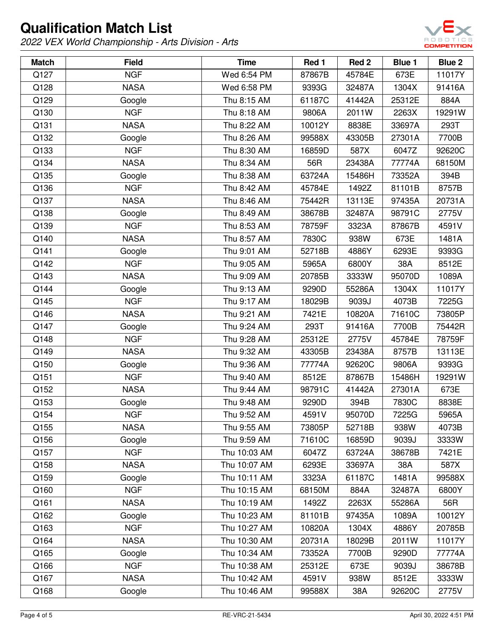

| <b>Match</b> | <b>Field</b> | <b>Time</b>  | Red 1  | Red 2  | <b>Blue 1</b> | Blue 2 |
|--------------|--------------|--------------|--------|--------|---------------|--------|
| Q127         | <b>NGF</b>   | Wed 6:54 PM  | 87867B | 45784E | 673E          | 11017Y |
| Q128         | <b>NASA</b>  | Wed 6:58 PM  | 9393G  | 32487A | 1304X         | 91416A |
| Q129         | Google       | Thu 8:15 AM  | 61187C | 41442A | 25312E        | 884A   |
| Q130         | <b>NGF</b>   | Thu 8:18 AM  | 9806A  | 2011W  | 2263X         | 19291W |
| Q131         | <b>NASA</b>  | Thu 8:22 AM  | 10012Y | 8838E  | 33697A        | 293T   |
| Q132         | Google       | Thu 8:26 AM  | 99588X | 43305B | 27301A        | 7700B  |
| Q133         | <b>NGF</b>   | Thu 8:30 AM  | 16859D | 587X   | 6047Z         | 92620C |
| Q134         | <b>NASA</b>  | Thu 8:34 AM  | 56R    | 23438A | 77774A        | 68150M |
| Q135         | Google       | Thu 8:38 AM  | 63724A | 15486H | 73352A        | 394B   |
| Q136         | <b>NGF</b>   | Thu 8:42 AM  | 45784E | 1492Z  | 81101B        | 8757B  |
| Q137         | <b>NASA</b>  | Thu 8:46 AM  | 75442R | 13113E | 97435A        | 20731A |
| Q138         | Google       | Thu 8:49 AM  | 38678B | 32487A | 98791C        | 2775V  |
| Q139         | <b>NGF</b>   | Thu 8:53 AM  | 78759F | 3323A  | 87867B        | 4591V  |
| Q140         | <b>NASA</b>  | Thu 8:57 AM  | 7830C  | 938W   | 673E          | 1481A  |
| Q141         | Google       | Thu 9:01 AM  | 52718B | 4886Y  | 6293E         | 9393G  |
| Q142         | <b>NGF</b>   | Thu 9:05 AM  | 5965A  | 6800Y  | 38A           | 8512E  |
| Q143         | <b>NASA</b>  | Thu 9:09 AM  | 20785B | 3333W  | 95070D        | 1089A  |
| Q144         | Google       | Thu 9:13 AM  | 9290D  | 55286A | 1304X         | 11017Y |
| Q145         | <b>NGF</b>   | Thu 9:17 AM  | 18029B | 9039J  | 4073B         | 7225G  |
| Q146         | <b>NASA</b>  | Thu 9:21 AM  | 7421E  | 10820A | 71610C        | 73805P |
| Q147         | Google       | Thu 9:24 AM  | 293T   | 91416A | 7700B         | 75442R |
| Q148         | <b>NGF</b>   | Thu 9:28 AM  | 25312E | 2775V  | 45784E        | 78759F |
| Q149         | <b>NASA</b>  | Thu 9:32 AM  | 43305B | 23438A | 8757B         | 13113E |
| Q150         | Google       | Thu 9:36 AM  | 77774A | 92620C | 9806A         | 9393G  |
| Q151         | <b>NGF</b>   | Thu 9:40 AM  | 8512E  | 87867B | 15486H        | 19291W |
| Q152         | <b>NASA</b>  | Thu 9:44 AM  | 98791C | 41442A | 27301A        | 673E   |
| Q153         | Google       | Thu 9:48 AM  | 9290D  | 394B   | 7830C         | 8838E  |
| Q154         | <b>NGF</b>   | Thu 9:52 AM  | 4591V  | 95070D | 7225G         | 5965A  |
| Q155         | <b>NASA</b>  | Thu 9:55 AM  | 73805P | 52718B | 938W          | 4073B  |
| Q156         | Google       | Thu 9:59 AM  | 71610C | 16859D | 9039J         | 3333W  |
| Q157         | <b>NGF</b>   | Thu 10:03 AM | 6047Z  | 63724A | 38678B        | 7421E  |
| Q158         | <b>NASA</b>  | Thu 10:07 AM | 6293E  | 33697A | 38A           | 587X   |
| Q159         | Google       | Thu 10:11 AM | 3323A  | 61187C | 1481A         | 99588X |
| Q160         | <b>NGF</b>   | Thu 10:15 AM | 68150M | 884A   | 32487A        | 6800Y  |
| Q161         | <b>NASA</b>  | Thu 10:19 AM | 1492Z  | 2263X  | 55286A        | 56R    |
| Q162         | Google       | Thu 10:23 AM | 81101B | 97435A | 1089A         | 10012Y |
| Q163         | <b>NGF</b>   | Thu 10:27 AM | 10820A | 1304X  | 4886Y         | 20785B |
| Q164         | <b>NASA</b>  | Thu 10:30 AM | 20731A | 18029B | 2011W         | 11017Y |
| Q165         | Google       | Thu 10:34 AM | 73352A | 7700B  | 9290D         | 77774A |
| Q166         | <b>NGF</b>   | Thu 10:38 AM | 25312E | 673E   | 9039J         | 38678B |
| Q167         | <b>NASA</b>  | Thu 10:42 AM | 4591V  | 938W   | 8512E         | 3333W  |
| Q168         | Google       | Thu 10:46 AM | 99588X | 38A    | 92620C        | 2775V  |